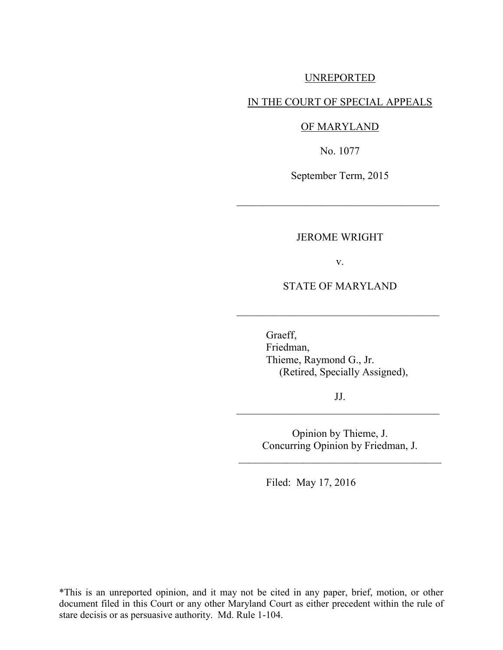## UNREPORTED

### IN THE COURT OF SPECIAL APPEALS

#### OF MARYLAND

No. 1077

September Term, 2015

 $\mathcal{L}_\text{max}$  , where  $\mathcal{L}_\text{max}$  , we are the set of  $\mathcal{L}_\text{max}$ 

#### JEROME WRIGHT

v.

STATE OF MARYLAND

 $\mathcal{L}_\text{max}$  , where  $\mathcal{L}_\text{max}$  , we are the set of  $\mathcal{L}_\text{max}$ 

 Graeff, Friedman, Thieme, Raymond G., Jr. (Retired, Specially Assigned),

JJ.  $\mathcal{L}_\text{max}$  , where  $\mathcal{L}_\text{max}$  , we are the set of  $\mathcal{L}_\text{max}$ 

> Opinion by Thieme, J. Concurring Opinion by Friedman, J.

\_\_\_\_\_\_\_\_\_\_\_\_\_\_\_\_\_\_\_\_\_\_\_\_\_\_\_\_\_\_\_\_\_\_\_\_\_\_

Filed: May 17, 2016

\*This is an unreported opinion, and it may not be cited in any paper, brief, motion, or other document filed in this Court or any other Maryland Court as either precedent within the rule of stare decisis or as persuasive authority. Md. Rule 1-104.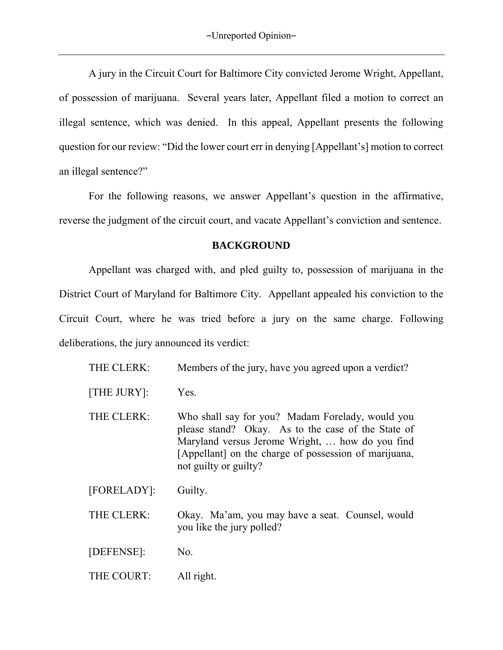A jury in the Circuit Court for Baltimore City convicted Jerome Wright, Appellant, of possession of marijuana. Several years later, Appellant filed a motion to correct an illegal sentence, which was denied. In this appeal, Appellant presents the following question for our review: "Did the lower court err in denying [Appellant's] motion to correct an illegal sentence?"

For the following reasons, we answer Appellant's question in the affirmative, reverse the judgment of the circuit court, and vacate Appellant's conviction and sentence.

## **BACKGROUND**

Appellant was charged with, and pled guilty to, possession of marijuana in the District Court of Maryland for Baltimore City. Appellant appealed his conviction to the Circuit Court, where he was tried before a jury on the same charge. Following deliberations, the jury announced its verdict:

| THE CLERK:  | Members of the jury, have you agreed upon a verdict?                                                                                                                                                                                        |
|-------------|---------------------------------------------------------------------------------------------------------------------------------------------------------------------------------------------------------------------------------------------|
| [THE JURY]: | Yes.                                                                                                                                                                                                                                        |
| THE CLERK:  | Who shall say for you? Madam Forelady, would you<br>please stand? Okay. As to the case of the State of<br>Maryland versus Jerome Wright,  how do you find<br>[Appellant] on the charge of possession of marijuana,<br>not guilty or guilty? |
| [FORELADY]: | Guilty.                                                                                                                                                                                                                                     |
| THE CLERK:  | Okay. Ma'am, you may have a seat. Counsel, would<br>you like the jury polled?                                                                                                                                                               |
| [DEFENSE]:  | No.                                                                                                                                                                                                                                         |
| THE COURT:  | All right.                                                                                                                                                                                                                                  |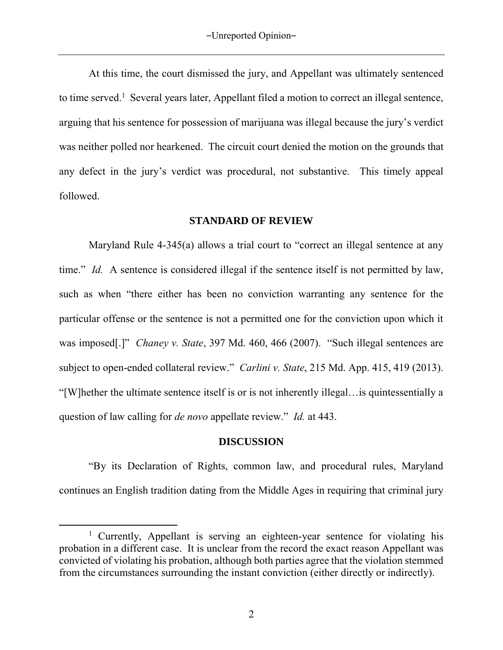At this time, the court dismissed the jury, and Appellant was ultimately sentenced to time served.<sup>1</sup> Several years later, Appellant filed a motion to correct an illegal sentence, arguing that his sentence for possession of marijuana was illegal because the jury's verdict was neither polled nor hearkened. The circuit court denied the motion on the grounds that any defect in the jury's verdict was procedural, not substantive. This timely appeal followed.

#### **STANDARD OF REVIEW**

Maryland Rule 4-345(a) allows a trial court to "correct an illegal sentence at any time." *Id.* A sentence is considered illegal if the sentence itself is not permitted by law, such as when "there either has been no conviction warranting any sentence for the particular offense or the sentence is not a permitted one for the conviction upon which it was imposed[.]" *Chaney v. State*, 397 Md. 460, 466 (2007). "Such illegal sentences are subject to open-ended collateral review." *Carlini v. State*, 215 Md. App. 415, 419 (2013). "[W]hether the ultimate sentence itself is or is not inherently illegal…is quintessentially a question of law calling for *de novo* appellate review." *Id.* at 443.

#### **DISCUSSION**

"By its Declaration of Rights, common law, and procedural rules, Maryland continues an English tradition dating from the Middle Ages in requiring that criminal jury

<sup>&</sup>lt;sup>1</sup> Currently, Appellant is serving an eighteen-year sentence for violating his probation in a different case. It is unclear from the record the exact reason Appellant was convicted of violating his probation, although both parties agree that the violation stemmed from the circumstances surrounding the instant conviction (either directly or indirectly).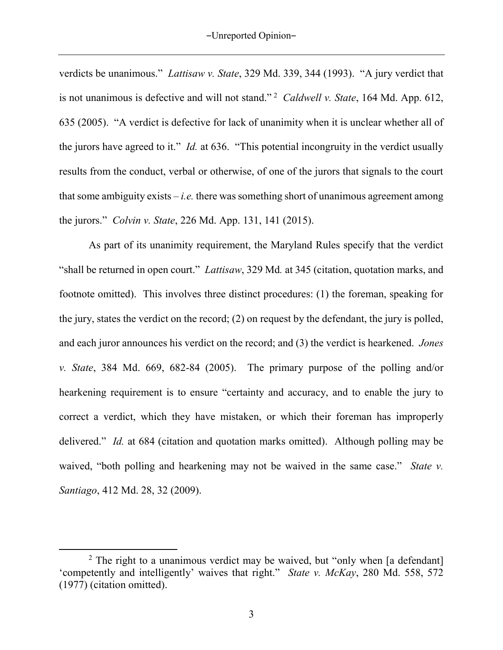verdicts be unanimous." *Lattisaw v. State*, 329 Md. 339, 344 (1993). "A jury verdict that is not unanimous is defective and will not stand." <sup>2</sup> *Caldwell v. State*, 164 Md. App. 612, 635 (2005). "A verdict is defective for lack of unanimity when it is unclear whether all of the jurors have agreed to it." *Id.* at 636. "This potential incongruity in the verdict usually results from the conduct, verbal or otherwise, of one of the jurors that signals to the court that some ambiguity exists  $-i.e.$  there was something short of unanimous agreement among the jurors." *Colvin v. State*, 226 Md. App. 131, 141 (2015).

As part of its unanimity requirement, the Maryland Rules specify that the verdict "shall be returned in open court." *Lattisaw*, 329 Md*.* at 345 (citation, quotation marks, and footnote omitted). This involves three distinct procedures: (1) the foreman, speaking for the jury, states the verdict on the record; (2) on request by the defendant, the jury is polled, and each juror announces his verdict on the record; and (3) the verdict is hearkened. *Jones v. State*, 384 Md. 669, 682-84 (2005). The primary purpose of the polling and/or hearkening requirement is to ensure "certainty and accuracy, and to enable the jury to correct a verdict, which they have mistaken, or which their foreman has improperly delivered." *Id.* at 684 (citation and quotation marks omitted). Although polling may be waived, "both polling and hearkening may not be waived in the same case." *State v. Santiago*, 412 Md. 28, 32 (2009).

<sup>&</sup>lt;sup>2</sup> The right to a unanimous verdict may be waived, but "only when [a defendant] 'competently and intelligently' waives that right." *State v. McKay*, 280 Md. 558, 572 (1977) (citation omitted).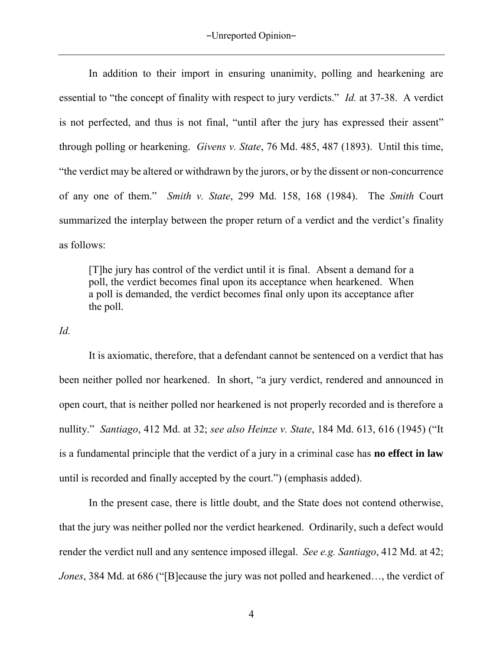In addition to their import in ensuring unanimity, polling and hearkening are essential to "the concept of finality with respect to jury verdicts." *Id.* at 37-38. A verdict is not perfected, and thus is not final, "until after the jury has expressed their assent" through polling or hearkening. *Givens v. State*, 76 Md. 485, 487 (1893). Until this time, "the verdict may be altered or withdrawn by the jurors, or by the dissent or non-concurrence of any one of them." *Smith v. State*, 299 Md. 158, 168 (1984). The *Smith* Court summarized the interplay between the proper return of a verdict and the verdict's finality as follows:

[T]he jury has control of the verdict until it is final. Absent a demand for a poll, the verdict becomes final upon its acceptance when hearkened. When a poll is demanded, the verdict becomes final only upon its acceptance after the poll.

## *Id.*

It is axiomatic, therefore, that a defendant cannot be sentenced on a verdict that has been neither polled nor hearkened. In short, "a jury verdict, rendered and announced in open court, that is neither polled nor hearkened is not properly recorded and is therefore a nullity." *Santiago*, 412 Md. at 32; *see also Heinze v. State*, 184 Md. 613, 616 (1945) ("It is a fundamental principle that the verdict of a jury in a criminal case has **no effect in law** until is recorded and finally accepted by the court.") (emphasis added).

In the present case, there is little doubt, and the State does not contend otherwise, that the jury was neither polled nor the verdict hearkened. Ordinarily, such a defect would render the verdict null and any sentence imposed illegal. *See e.g. Santiago*, 412 Md. at 42; *Jones*, 384 Md. at 686 ("[B]ecause the jury was not polled and hearkened…, the verdict of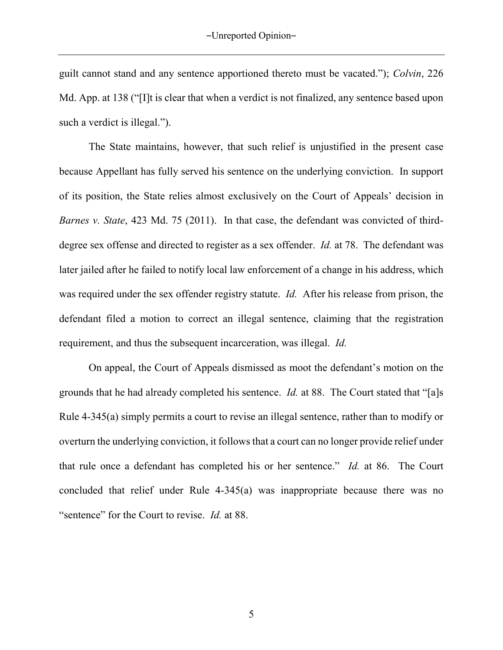guilt cannot stand and any sentence apportioned thereto must be vacated."); *Colvin*, 226 Md. App. at 138 ("[I]t is clear that when a verdict is not finalized, any sentence based upon such a verdict is illegal.").

The State maintains, however, that such relief is unjustified in the present case because Appellant has fully served his sentence on the underlying conviction. In support of its position, the State relies almost exclusively on the Court of Appeals' decision in *Barnes v. State*, 423 Md. 75 (2011). In that case, the defendant was convicted of thirddegree sex offense and directed to register as a sex offender. *Id.* at 78. The defendant was later jailed after he failed to notify local law enforcement of a change in his address, which was required under the sex offender registry statute. *Id.* After his release from prison, the defendant filed a motion to correct an illegal sentence, claiming that the registration requirement, and thus the subsequent incarceration, was illegal. *Id.*

On appeal, the Court of Appeals dismissed as moot the defendant's motion on the grounds that he had already completed his sentence. *Id.* at 88. The Court stated that "[a]s Rule 4-345(a) simply permits a court to revise an illegal sentence, rather than to modify or overturn the underlying conviction, it follows that a court can no longer provide relief under that rule once a defendant has completed his or her sentence." *Id.* at 86. The Court concluded that relief under Rule 4-345(a) was inappropriate because there was no "sentence" for the Court to revise. *Id.* at 88.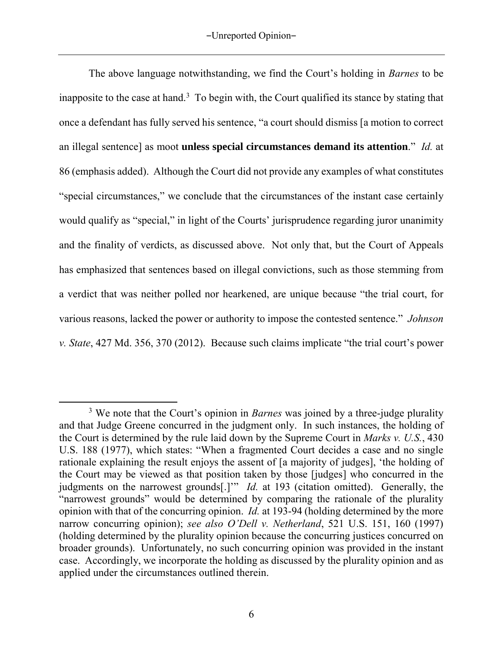The above language notwithstanding, we find the Court's holding in *Barnes* to be inapposite to the case at hand.<sup>3</sup> To begin with, the Court qualified its stance by stating that once a defendant has fully served his sentence, "a court should dismiss [a motion to correct an illegal sentence] as moot **unless special circumstances demand its attention**." *Id.* at 86 (emphasis added). Although the Court did not provide any examples of what constitutes "special circumstances," we conclude that the circumstances of the instant case certainly would qualify as "special," in light of the Courts' jurisprudence regarding juror unanimity and the finality of verdicts, as discussed above. Not only that, but the Court of Appeals has emphasized that sentences based on illegal convictions, such as those stemming from a verdict that was neither polled nor hearkened, are unique because "the trial court, for various reasons, lacked the power or authority to impose the contested sentence." *Johnson v. State*, 427 Md. 356, 370 (2012). Because such claims implicate "the trial court's power

<sup>&</sup>lt;sup>3</sup> We note that the Court's opinion in *Barnes* was joined by a three-judge plurality and that Judge Greene concurred in the judgment only. In such instances, the holding of the Court is determined by the rule laid down by the Supreme Court in *Marks v. U.S.*, 430 U.S. 188 (1977), which states: "When a fragmented Court decides a case and no single rationale explaining the result enjoys the assent of [a majority of judges], 'the holding of the Court may be viewed as that position taken by those [judges] who concurred in the judgments on the narrowest grounds<sup>[1]"</sup> *Id.* at 193 (citation omitted). Generally, the "narrowest grounds" would be determined by comparing the rationale of the plurality opinion with that of the concurring opinion. *Id.* at 193-94 (holding determined by the more narrow concurring opinion); *see also O'Dell v. Netherland*, 521 U.S. 151, 160 (1997) (holding determined by the plurality opinion because the concurring justices concurred on broader grounds). Unfortunately, no such concurring opinion was provided in the instant case. Accordingly, we incorporate the holding as discussed by the plurality opinion and as applied under the circumstances outlined therein.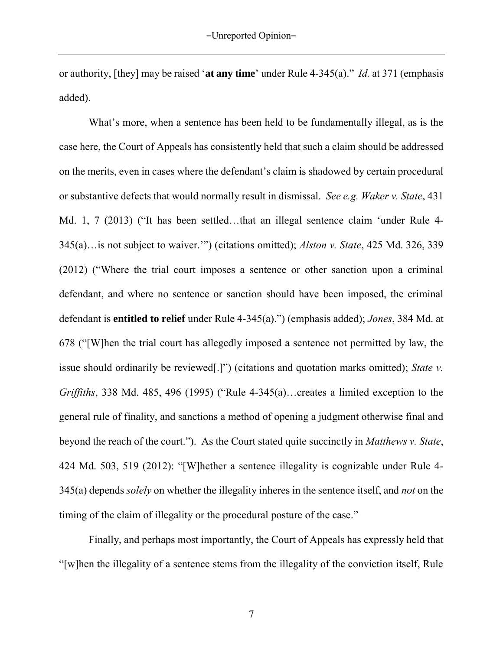or authority, [they] may be raised '**at any time**' under Rule 4-345(a)." *Id.* at 371 (emphasis added).

What's more, when a sentence has been held to be fundamentally illegal, as is the case here, the Court of Appeals has consistently held that such a claim should be addressed on the merits, even in cases where the defendant's claim is shadowed by certain procedural or substantive defects that would normally result in dismissal. *See e.g. Waker v. State*, 431 Md. 1, 7 (2013) ("It has been settled…that an illegal sentence claim 'under Rule 4- 345(a)…is not subject to waiver.'") (citations omitted); *Alston v. State*, 425 Md. 326, 339 (2012) ("Where the trial court imposes a sentence or other sanction upon a criminal defendant, and where no sentence or sanction should have been imposed, the criminal defendant is **entitled to relief** under Rule 4-345(a).") (emphasis added); *Jones*, 384 Md. at 678 ("[W]hen the trial court has allegedly imposed a sentence not permitted by law, the issue should ordinarily be reviewed[.]") (citations and quotation marks omitted); *State v. Griffiths*, 338 Md. 485, 496 (1995) ("Rule 4-345(a)…creates a limited exception to the general rule of finality, and sanctions a method of opening a judgment otherwise final and beyond the reach of the court."). As the Court stated quite succinctly in *Matthews v. State*, 424 Md. 503, 519 (2012): "[W]hether a sentence illegality is cognizable under Rule 4- 345(a) depends *solely* on whether the illegality inheres in the sentence itself, and *not* on the timing of the claim of illegality or the procedural posture of the case."

Finally, and perhaps most importantly, the Court of Appeals has expressly held that "[w]hen the illegality of a sentence stems from the illegality of the conviction itself, Rule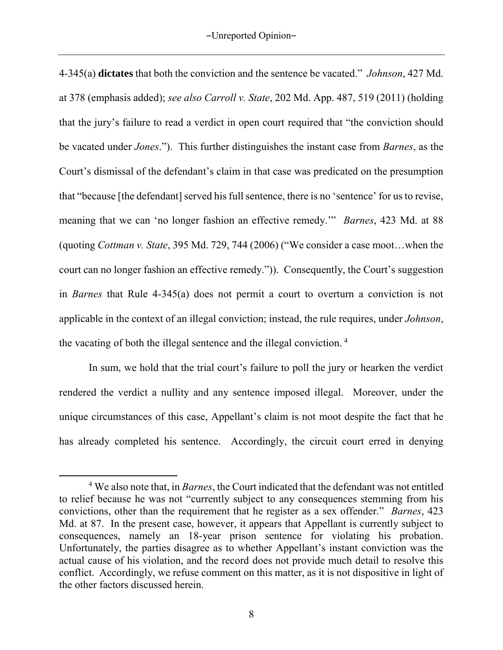4-345(a) **dictates** that both the conviction and the sentence be vacated." *Johnson*, 427 Md. at 378 (emphasis added); *see also Carroll v. State*, 202 Md. App. 487, 519 (2011) (holding that the jury's failure to read a verdict in open court required that "the conviction should be vacated under *Jones*."). This further distinguishes the instant case from *Barnes*, as the Court's dismissal of the defendant's claim in that case was predicated on the presumption that "because [the defendant] served his full sentence, there is no 'sentence' for us to revise, meaning that we can 'no longer fashion an effective remedy.'" *Barnes*, 423 Md. at 88 (quoting *Cottman v. State*, 395 Md. 729, 744 (2006) ("We consider a case moot…when the court can no longer fashion an effective remedy.")). Consequently, the Court's suggestion in *Barnes* that Rule 4-345(a) does not permit a court to overturn a conviction is not applicable in the context of an illegal conviction; instead, the rule requires, under *Johnson*, the vacating of both the illegal sentence and the illegal conviction. <sup>4</sup>

In sum, we hold that the trial court's failure to poll the jury or hearken the verdict rendered the verdict a nullity and any sentence imposed illegal. Moreover, under the unique circumstances of this case, Appellant's claim is not moot despite the fact that he has already completed his sentence. Accordingly, the circuit court erred in denying

<sup>4</sup> We also note that, in *Barnes*, the Court indicated that the defendant was not entitled to relief because he was not "currently subject to any consequences stemming from his convictions, other than the requirement that he register as a sex offender." *Barnes*, 423 Md. at 87. In the present case, however, it appears that Appellant is currently subject to consequences, namely an 18-year prison sentence for violating his probation. Unfortunately, the parties disagree as to whether Appellant's instant conviction was the actual cause of his violation, and the record does not provide much detail to resolve this conflict. Accordingly, we refuse comment on this matter, as it is not dispositive in light of the other factors discussed herein.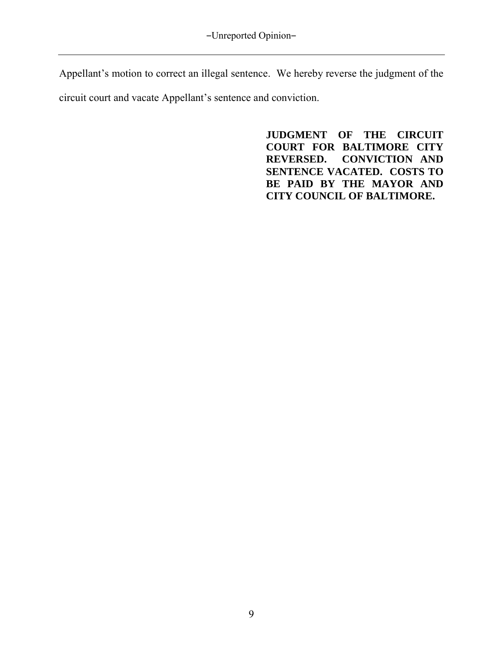Appellant's motion to correct an illegal sentence. We hereby reverse the judgment of the circuit court and vacate Appellant's sentence and conviction.

> **JUDGMENT OF THE CIRCUIT COURT FOR BALTIMORE CITY REVERSED. CONVICTION AND SENTENCE VACATED. COSTS TO BE PAID BY THE MAYOR AND CITY COUNCIL OF BALTIMORE.**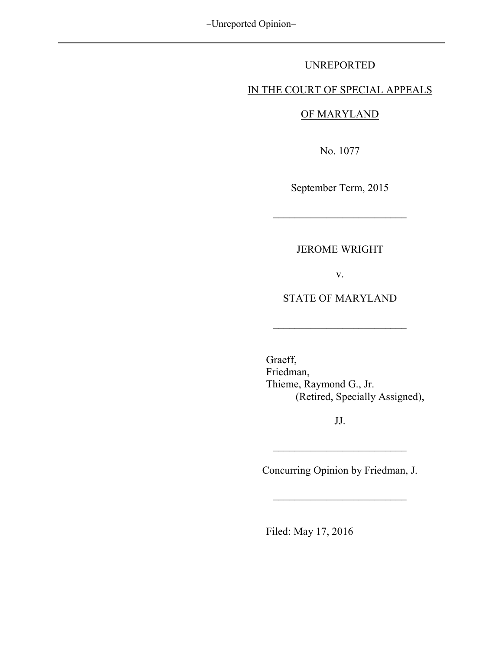## UNREPORTED

## IN THE COURT OF SPECIAL APPEALS

# OF MARYLAND

No. 1077

September Term, 2015

 $\overline{\phantom{a}}$  , where  $\overline{\phantom{a}}$ 

# JEROME WRIGHT

v.

STATE OF MARYLAND

 $\overline{\phantom{a}}$  , where  $\overline{\phantom{a}}$ 

 Graeff, Friedman, Thieme, Raymond G., Jr. (Retired, Specially Assigned),

JJ.

\_\_\_\_\_\_\_\_\_\_\_\_\_\_\_\_\_\_\_\_\_\_\_\_\_

Concurring Opinion by Friedman, J.

 $\overline{\phantom{a}}$  , where  $\overline{\phantom{a}}$ 

Filed: May 17, 2016